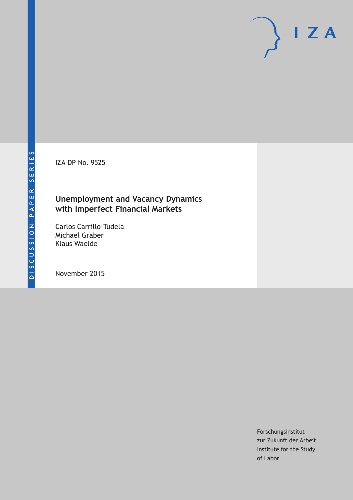IZA DP No. 9525

## **Unemployment and Vacancy Dynamics with Imperfect Financial Markets**

Carlos Carrillo-Tudela Michael Graber Klaus Waelde

November 2015

Forschungsinstitut zur Zukunft der Arbeit Institute for the Study of Labor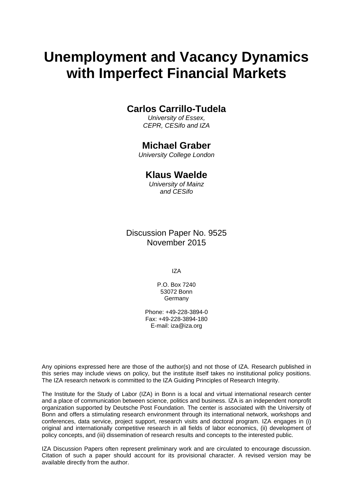# **Unemployment and Vacancy Dynamics with Imperfect Financial Markets**

## **Carlos Carrillo-Tudela**

*University of Essex, CEPR, CESifo and IZA* 

## **Michael Graber**

*University College London* 

## **Klaus Waelde**

*University of Mainz and CESifo*

Discussion Paper No. 9525 November 2015

IZA

P.O. Box 7240 53072 Bonn **Germany** 

Phone: +49-228-3894-0 Fax: +49-228-3894-180 E-mail: iza@iza.org

Any opinions expressed here are those of the author(s) and not those of IZA. Research published in this series may include views on policy, but the institute itself takes no institutional policy positions. The IZA research network is committed to the IZA Guiding Principles of Research Integrity.

The Institute for the Study of Labor (IZA) in Bonn is a local and virtual international research center and a place of communication between science, politics and business. IZA is an independent nonprofit organization supported by Deutsche Post Foundation. The center is associated with the University of Bonn and offers a stimulating research environment through its international network, workshops and conferences, data service, project support, research visits and doctoral program. IZA engages in (i) original and internationally competitive research in all fields of labor economics, (ii) development of policy concepts, and (iii) dissemination of research results and concepts to the interested public.

IZA Discussion Papers often represent preliminary work and are circulated to encourage discussion. Citation of such a paper should account for its provisional character. A revised version may be available directly from the author.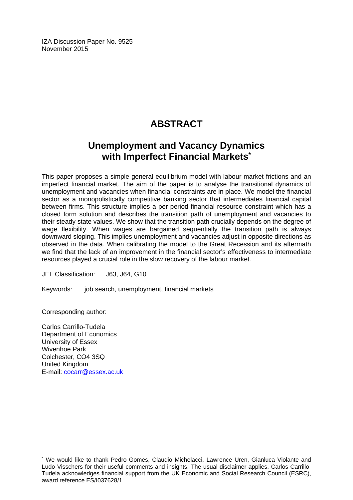IZA Discussion Paper No. 9525 November 2015

## **ABSTRACT**

## **Unemployment and Vacancy Dynamics with Imperfect Financial Markets\***

This paper proposes a simple general equilibrium model with labour market frictions and an imperfect financial market. The aim of the paper is to analyse the transitional dynamics of unemployment and vacancies when financial constraints are in place. We model the financial sector as a monopolistically competitive banking sector that intermediates financial capital between firms. This structure implies a per period financial resource constraint which has a closed form solution and describes the transition path of unemployment and vacancies to their steady state values. We show that the transition path crucially depends on the degree of wage flexibility. When wages are bargained sequentially the transition path is always downward sloping. This implies unemployment and vacancies adjust in opposite directions as observed in the data. When calibrating the model to the Great Recession and its aftermath we find that the lack of an improvement in the financial sector's effectiveness to intermediate resources played a crucial role in the slow recovery of the labour market.

JEL Classification: J63, J64, G10

Keywords: job search, unemployment, financial markets

Corresponding author:

 $\overline{\phantom{a}}$ 

Carlos Carrillo-Tudela Department of Economics University of Essex Wivenhoe Park Colchester, CO4 3SQ United Kingdom E-mail: cocarr@essex.ac.uk

<sup>\*</sup> We would like to thank Pedro Gomes, Claudio Michelacci, Lawrence Uren, Gianluca Violante and Ludo Visschers for their useful comments and insights. The usual disclaimer applies. Carlos Carrillo-Tudela acknowledges financial support from the UK Economic and Social Research Council (ESRC), award reference ES/I037628/1.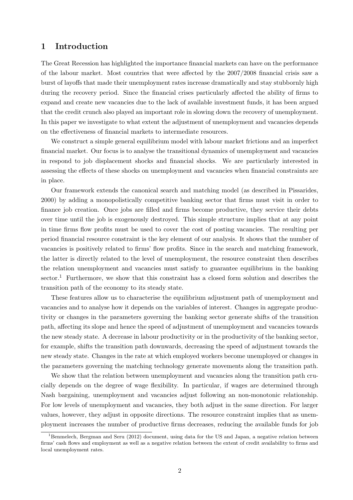### 1 Introduction

The Great Recession has highlighted the importance financial markets can have on the performance of the labour market. Most countries that were affected by the 2007/2008 financial crisis saw a burst of layoffs that made their unemployment rates increase dramatically and stay stubbornly high during the recovery period. Since the financial crises particularly affected the ability of firms to expand and create new vacancies due to the lack of available investment funds, it has been argued that the credit crunch also played an important role in slowing down the recovery of unemployment. In this paper we investigate to what extent the adjustment of unemployment and vacancies depends on the effectiveness of financial markets to intermediate resources.

We construct a simple general equilibrium model with labour market frictions and an imperfect financial market. Our focus is to analyse the transitional dynamics of unemployment and vacancies in respond to job displacement shocks and financial shocks. We are particularly interested in assessing the effects of these shocks on unemployment and vacancies when financial constraints are in place.

Our framework extends the canonical search and matching model (as described in Pissarides, 2000) by adding a monopolistically competitive banking sector that firms must visit in order to finance job creation. Once jobs are filled and firms become productive, they service their debts over time until the job is exogenously destroyed. This simple structure implies that at any point in time firms flow profits must be used to cover the cost of posting vacancies. The resulting per period financial resource constraint is the key element of our analysis. It shows that the number of vacancies is positively related to firms' flow profits. Since in the search and matching framework, the latter is directly related to the level of unemployment, the resource constraint then describes the relation unemployment and vacancies must satisfy to guarantee equilibrium in the banking sector.<sup>1</sup> Furthermore, we show that this constraint has a closed form solution and describes the transition path of the economy to its steady state.

These features allow us to characterise the equilibrium adjustment path of unemployment and vacancies and to analyse how it depends on the variables of interest. Changes in aggregate productivity or changes in the parameters governing the banking sector generate shifts of the transition path, affecting its slope and hence the speed of adjustment of unemployment and vacancies towards the new steady state. A decrease in labour productivity or in the productivity of the banking sector, for example, shifts the transition path downwards, decreasing the speed of adjustment towards the new steady state. Changes in the rate at which employed workers become unemployed or changes in the parameters governing the matching technology generate movements along the transition path.

We show that the relation between unemployment and vacancies along the transition path crucially depends on the degree of wage flexibility. In particular, if wages are determined through Nash bargaining, unemployment and vacancies adjust following an non-monotonic relationship. For low levels of unemployment and vacancies, they both adjust in the same direction. For larger values, however, they adjust in opposite directions. The resource constraint implies that as unemployment increases the number of productive firms decreases, reducing the available funds for job

<sup>&</sup>lt;sup>1</sup>Benmelech, Bergman and Seru (2012) document, using data for the US and Japan, a negative relation between firms' cash flows and employment as well as a negative relation between the extent of credit availability to firms and local unemployment rates.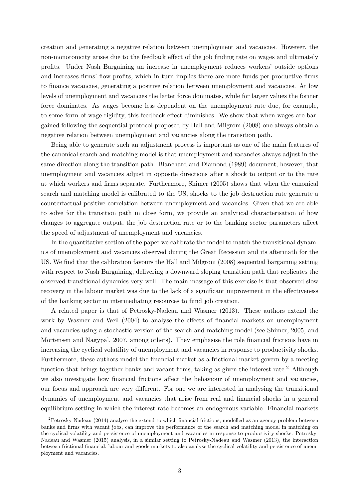creation and generating a negative relation between unemployment and vacancies. However, the non-monotonicity arises due to the feedback effect of the job finding rate on wages and ultimately profits. Under Nash Bargaining an increase in unemployment reduces workers' outside options and increases firms' flow profits, which in turn implies there are more funds per productive firms to finance vacancies, generating a positive relation between unemployment and vacancies. At low levels of unemployment and vacancies the latter force dominates, while for larger values the former force dominates. As wages become less dependent on the unemployment rate due, for example, to some form of wage rigidity, this feedback effect diminishes. We show that when wages are bargained following the sequential protocol proposed by Hall and Milgrom (2008) one always obtain a negative relation between unemployment and vacancies along the transition path.

Being able to generate such an adjustment process is important as one of the main features of the canonical search and matching model is that unemployment and vacancies always adjust in the same direction along the transition path. Blanchard and Diamond (1989) document, however, that unemployment and vacancies adjust in opposite directions after a shock to output or to the rate at which workers and firms separate. Furthermore, Shimer (2005) shows that when the canonical search and matching model is calibrated to the US, shocks to the job destruction rate generate a counterfactual positive correlation between unemployment and vacancies. Given that we are able to solve for the transition path in close form, we provide an analytical characterisation of how changes to aggregate output, the job destruction rate or to the banking sector parameters affect the speed of adjustment of unemployment and vacancies.

In the quantitative section of the paper we calibrate the model to match the transitional dynamics of unemployment and vacancies observed during the Great Recession and its aftermath for the US. We find that the calibration favours the Hall and Milgrom (2008) sequential bargaining setting with respect to Nash Bargaining, delivering a downward sloping transition path that replicates the observed transitional dynamics very well. The main message of this exercise is that observed slow recovery in the labour market was due to the lack of a significant improvement in the effectiveness of the banking sector in intermediating resources to fund job creation.

A related paper is that of Petrosky-Nadeau and Wasmer (2013). These authors extend the work by Wasmer and Weil (2004) to analyse the effects of financial markets on unemployment and vacancies using a stochastic version of the search and matching model (see Shimer, 2005, and Mortensen and Nagypal, 2007, among others). They emphasise the role financial frictions have in increasing the cyclical volatility of unemployment and vacancies in response to productivity shocks. Furthermore, these authors model the financial market as a frictional market govern by a meeting function that brings together banks and vacant firms, taking as given the interest rate.<sup>2</sup> Although we also investigate how financial frictions affect the behaviour of unemployment and vacancies, our focus and approach are very different. For one we are interested in analysing the transitional dynamics of unemployment and vacancies that arise from real and financial shocks in a general equilibrium setting in which the interest rate becomes an endogenous variable. Financial markets

<sup>2</sup>Petrosky-Nadeau (2014) analyse the extend to which financial frictions, modelled as an agency problem between banks and firms with vacant jobs, can improve the performance of the search and matching model in matching on the cyclical volatility and persistence of unemployment and vacancies in response to productivity shocks. Petrosky-Nadeau and Wasmer (2015) analysis, in a similar setting to Petrosky-Nadeau and Wasmer (2013), the interaction between frictional financial, labour and goods markets to also analyse the cyclical volatility and persistence of unemployment and vacancies.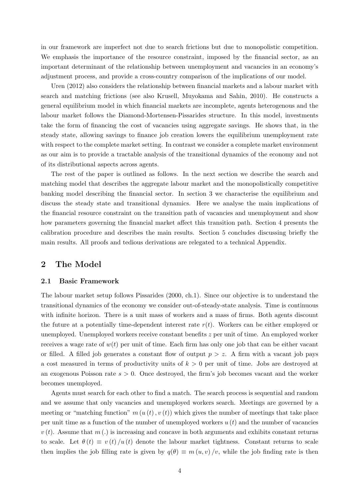in our framework are imperfect not due to search frictions but due to monopolistic competition. We emphasis the importance of the resource constraint, imposed by the financial sector, as an important determinant of the relationship between unemployment and vacancies in an economy's adjustment process, and provide a cross-country comparison of the implications of our model.

Uren (2012) also considers the relationship between financial markets and a labour market with search and matching frictions (see also Krusell, Muyokama and Sahin, 2010). He constructs a general equilibrium model in which financial markets are incomplete, agents heterogenous and the labour market follows the Diamond-Mortensen-Pissarides structure. In this model, investments take the form of financing the cost of vacancies using aggregate savings. He shows that, in the steady state, allowing savings to finance job creation lowers the equilibrium unemployment rate with respect to the complete market setting. In contrast we consider a complete market environment as our aim is to provide a tractable analysis of the transitional dynamics of the economy and not of its distributional aspects across agents.

The rest of the paper is outlined as follows. In the next section we describe the search and matching model that describes the aggregate labour market and the monopolistically competitive banking model describing the financial sector. In section 3 we characterise the equilibrium and discuss the steady state and transitional dynamics. Here we analyse the main implications of the financial resource constraint on the transition path of vacancies and unemployment and show how parameters governing the financial market affect this transition path. Section 4 presents the calibration procedure and describes the main results. Section 5 concludes discussing briefly the main results. All proofs and tedious derivations are relegated to a technical Appendix.

## 2 The Model

#### 2.1 Basic Framework

The labour market setup follows Pissarides (2000, ch.1). Since our objective is to understand the transitional dynamics of the economy we consider out-of-steady-state analysis. Time is continuous with infinite horizon. There is a unit mass of workers and a mass of firms. Both agents discount the future at a potentially time-dependent interest rate  $r(t)$ . Workers can be either employed or unemployed. Unemployed workers receive constant benefits z per unit of time. An employed worker receives a wage rate of  $w(t)$  per unit of time. Each firm has only one job that can be either vacant or filled. A filled job generates a constant flow of output  $p > z$ . A firm with a vacant job pays a cost measured in terms of productivity units of  $k > 0$  per unit of time. Jobs are destroyed at an exogenous Poisson rate  $s > 0$ . Once destroyed, the firm's job becomes vacant and the worker becomes unemployed.

Agents must search for each other to find a match. The search process is sequential and random and we assume that only vacancies and unemployed workers search. Meetings are governed by a meeting or "matching function"  $m(u(t), v(t))$  which gives the number of meetings that take place per unit time as a function of the number of unemployed workers  $u(t)$  and the number of vacancies  $v(t)$ . Assume that  $m(t)$  is increasing and concave in both arguments and exhibits constant returns to scale. Let  $\theta(t) \equiv v(t)/u(t)$  denote the labour market tightness. Constant returns to scale then implies the job filling rate is given by  $q(\theta) \equiv m(u, v)/v$ , while the job finding rate is then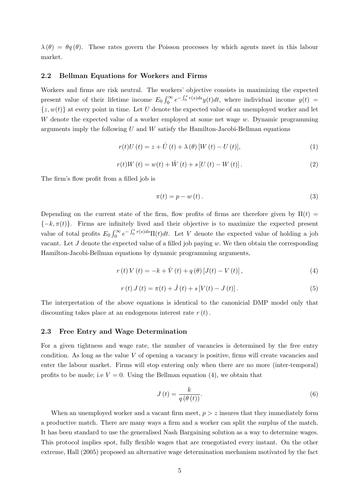$\lambda(\theta) = \theta q(\theta)$ . These rates govern the Poisson processes by which agents meet in this labour market.

#### 2.2 Bellman Equations for Workers and Firms

Workers and firms are risk neutral. The workers' objective consists in maximizing the expected present value of their lifetime income  $E_0 \int_0^\infty e^{-\int_0^s r(s)ds} y(t)dt$ , where individual income  $y(t)$  =  $\{z, w(t)\}\$ at every point in time. Let U denote the expected value of an unemployed worker and let W denote the expected value of a worker employed at some net wage w. Dynamic programming arguments imply the following  $U$  and  $W$  satisfy the Hamilton-Jacobi-Bellman equations

$$
r(t)U(t) = z + \dot{U}(t) + \lambda(\theta)[W(t) - U(t)],
$$
\n(1)

$$
r(t)W(t) = w(t) + \dot{W}(t) + s[U(t) - W(t)].
$$
\n(2)

The firm's flow profit from a filled job is

$$
\pi(t) = p - w(t). \tag{3}
$$

Depending on the current state of the firm, flow profits of firms are therefore given by  $\Pi(t)$  ${-k, \pi(t)}$ . Firms are infinitely lived and their objective is to maximize the expected present value of total profits  $E_0 \int_0^\infty e^{-\int_0^s r(s)ds} \Pi(t)dt$ . Let V denote the expected value of holding a job vacant. Let  $J$  denote the expected value of a filled job paying  $w$ . We then obtain the corresponding Hamilton-Jacobi-Bellman equations by dynamic programming arguments,

$$
r(t) V(t) = -k + \dot{V}(t) + q(\theta) [J(t) - V(t)],
$$
\n(4)

$$
r(t) J(t) = \pi(t) + J(t) + s[V(t) - J(t)].
$$
\n(5)

The interpretation of the above equations is identical to the canonicial DMP model only that discounting takes place at an endogenous interest rate  $r(t)$ .

#### 2.3 Free Entry and Wage Determination

For a given tightness and wage rate, the number of vacancies is determined by the free entry condition. As long as the value  $V$  of opening a vacancy is positive, firms will create vacancies and enter the labour market. Firms will stop entering only when there are no more (inter-temporal) profits to be made; i.e  $V = 0$ . Using the Bellman equation (4), we obtain that

$$
J\left(t\right) = \frac{k}{q\left(\theta\left(t\right)\right)}.\tag{6}
$$

When an unemployed worker and a vacant firm meet,  $p > z$  insures that they immediately form a productive match. There are many ways a firm and a worker can split the surplus of the match. It has been standard to use the generalised Nash Bargaining solution as a way to determine wages. This protocol implies spot, fully flexible wages that are renegotiated every instant. On the other extreme, Hall (2005) proposed an alternative wage determination mechanism motivated by the fact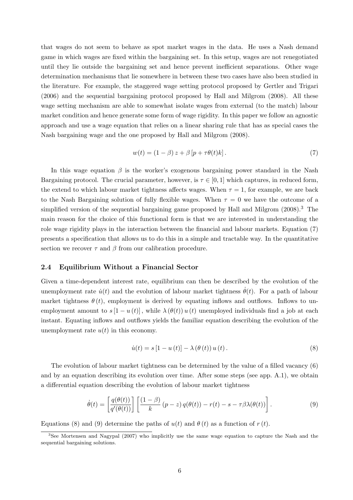that wages do not seem to behave as spot market wages in the data. He uses a Nash demand game in which wages are fixed within the bargaining set. In this setup, wages are not renegotiated until they lie outside the bargaining set and hence prevent inefficient separations. Other wage determination mechanisms that lie somewhere in between these two cases have also been studied in the literature. For example, the staggered wage setting protocol proposed by Gertler and Trigari (2006) and the sequential bargaining protocol proposed by Hall and Milgrom (2008). All these wage setting mechanism are able to somewhat isolate wages from external (to the match) labour market condition and hence generate some form of wage rigidity. In this paper we follow an agnostic approach and use a wage equation that relies on a linear sharing rule that has as special cases the Nash bargaining wage and the one proposed by Hall and Milgrom (2008).

$$
w(t) = (1 - \beta) z + \beta \left[ p + \tau \theta(t) k \right]. \tag{7}
$$

In this wage equation  $\beta$  is the worker's exogenous bargaining power standard in the Nash Bargaining protocol. The crucial parameter, however, is  $\tau \in [0, 1]$  which captures, in reduced form, the extend to which labour market tightness affects wages. When  $\tau = 1$ , for example, we are back to the Nash Bargaining solution of fully flexible wages. When  $\tau = 0$  we have the outcome of a simplified version of the sequential bargaining game proposed by Hall and Milgrom  $(2008)^3$ . The main reason for the choice of this functional form is that we are interested in understanding the role wage rigidity plays in the interaction between the financial and labour markets. Equation (7) presents a specification that allows us to do this in a simple and tractable way. In the quantitative section we recover  $\tau$  and  $\beta$  from our calibration procedure.

#### 2.4 Equilibrium Without a Financial Sector

Given a time-dependent interest rate, equilibrium can then be described by the evolution of the unemployment rate  $\dot{u}(t)$  and the evolution of labour market tightness  $\dot{\theta}(t)$ . For a path of labour market tightness  $\theta(t)$ , employment is derived by equating inflows and outflows. Inflows to unemployment amount to  $s[1-u(t)]$ , while  $\lambda(\theta(t))u(t)$  unemployed individuals find a job at each instant. Equating inflows and outflows yields the familiar equation describing the evolution of the unemployment rate  $u(t)$  in this economy.

$$
\dot{u}(t) = s\left[1 - u\left(t\right)\right] - \lambda\left(\theta\left(t\right)\right)u\left(t\right). \tag{8}
$$

The evolution of labour market tightness can be determined by the value of a filled vacancy (6) and by an equation describing its evolution over time. After some steps (see app. A.1), we obtain a differential equation describing the evolution of labour market tightness

$$
\dot{\theta}(t) = \left[\frac{q(\theta(t))}{q'(\theta(t))}\right] \left[\frac{(1-\beta)}{k} (p-z) q(\theta(t)) - r(t) - s - \tau \beta \lambda(\theta(t))\right].
$$
\n(9)

Equations (8) and (9) determine the paths of  $u(t)$  and  $\theta(t)$  as a function of  $r(t)$ .

<sup>3</sup>See Mortensen and Nagypal (2007) who implicitly use the same wage equation to capture the Nash and the sequential bargaining solutions.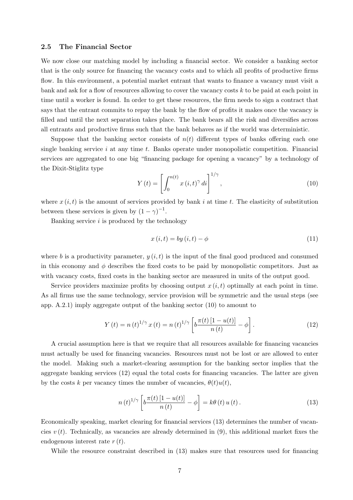#### 2.5 The Financial Sector

We now close our matching model by including a financial sector. We consider a banking sector that is the only source for financing the vacancy costs and to which all profits of productive firms flow. In this environment, a potential market entrant that wants to finance a vacancy must visit a bank and ask for a flow of resources allowing to cover the vacancy costs k to be paid at each point in time until a worker is found. In order to get these resources, the firm needs to sign a contract that says that the entrant commits to repay the bank by the flow of profits it makes once the vacancy is filled and until the next separation takes place. The bank bears all the risk and diversifies across all entrants and productive firms such that the bank behaves as if the world was deterministic.

Suppose that the banking sector consists of  $n(t)$  different types of banks offering each one single banking service  $i$  at any time  $t$ . Banks operate under monopolistic competition. Financial services are aggregated to one big "financing package for opening a vacancy" by a technology of the Dixit-Stiglitz type

$$
Y(t) = \left[ \int_0^{n(t)} x(t, t)^{\gamma} dt \right]^{1/\gamma}, \qquad (10)
$$

where  $x(i, t)$  is the amount of services provided by bank i at time t. The elasticity of substitution between these services is given by  $(1 - \gamma)^{-1}$ .

Banking service  $i$  is produced by the technology

$$
x(i,t) = by (i,t) - \phi \tag{11}
$$

where b is a productivity parameter,  $y(i, t)$  is the input of the final good produced and consumed in this economy and  $\phi$  describes the fixed costs to be paid by monopolistic competitors. Just as with vacancy costs, fixed costs in the banking sector are measured in units of the output good.

Service providers maximize profits by choosing output  $x(i, t)$  optimally at each point in time. As all firms use the same technology, service provision will be symmetric and the usual steps (see app. A.2.1) imply aggregate output of the banking sector (10) to amount to

$$
Y(t) = n(t)^{1/\gamma} x(t) = n(t)^{1/\gamma} \left[ b \frac{\pi(t) [1 - u(t)]}{n(t)} - \phi \right].
$$
 (12)

A crucial assumption here is that we require that all resources available for financing vacancies must actually be used for financing vacancies. Resources must not be lost or are allowed to enter the model. Making such a market-clearing assumption for the banking sector implies that the aggregate banking services (12) equal the total costs for financing vacancies. The latter are given by the costs k per vacancy times the number of vacancies,  $\theta(t)u(t)$ ,

$$
n(t)^{1/\gamma} \left[ b \frac{\pi(t) \left[ 1 - u(t) \right]}{n(t)} - \phi \right] = k\theta(t) u(t).
$$
 (13)

Economically speaking, market clearing for financial services (13) determines the number of vacancies  $v(t)$ . Technically, as vacancies are already determined in (9), this additional market fixes the endogenous interest rate  $r(t)$ .

While the resource constraint described in (13) makes sure that resources used for financing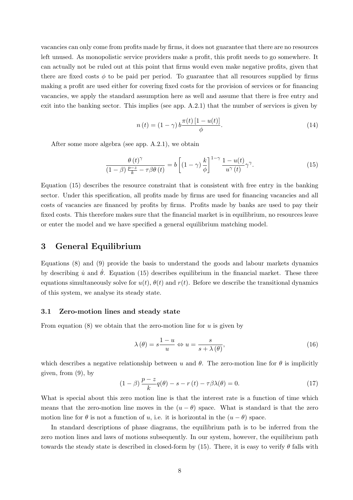vacancies can only come from profits made by firms, it does not guarantee that there are no resources left unused. As monopolistic service providers make a profit, this profit needs to go somewhere. It can actually not be ruled out at this point that firms would even make negative profits, given that there are fixed costs  $\phi$  to be paid per period. To guarantee that all resources supplied by firms making a profit are used either for covering fixed costs for the provision of services or for financing vacancies, we apply the standard assumption here as well and assume that there is free entry and exit into the banking sector. This implies (see app. A.2.1) that the number of services is given by

$$
n(t) = (1 - \gamma) b \frac{\pi(t) [1 - u(t)]}{\phi}.
$$
\n
$$
(14)
$$

After some more algebra (see app. A.2.1), we obtain

$$
\frac{\theta(t)^{\gamma}}{(1-\beta)\frac{p-z}{k}-\tau\beta\theta(t)} = b\left[ (1-\gamma)\frac{k}{\phi} \right]^{1-\gamma} \frac{1-u(t)}{u^{\gamma}(t)}\gamma^{\gamma}.
$$
\n(15)

Equation (15) describes the resource constraint that is consistent with free entry in the banking sector. Under this specification, all profits made by firms are used for financing vacancies and all costs of vacancies are financed by profits by firms. Profits made by banks are used to pay their fixed costs. This therefore makes sure that the financial market is in equilibrium, no resources leave or enter the model and we have specified a general equilibrium matching model.

## 3 General Equilibrium

Equations (8) and (9) provide the basis to understand the goods and labour markets dynamics by describing  $\dot{u}$  and  $\dot{\theta}$ . Equation (15) describes equilibrium in the financial market. These three equations simultaneously solve for  $u(t)$ ,  $\theta(t)$  and  $r(t)$ . Before we describe the transitional dynamics of this system, we analyse its steady state.

#### 3.1 Zero-motion lines and steady state

From equation  $(8)$  we obtain that the zero-motion line for u is given by

$$
\lambda(\theta) = s \frac{1 - u}{u} \Leftrightarrow u = \frac{s}{s + \lambda(\theta)},\tag{16}
$$

which describes a negative relationship between u and  $\theta$ . The zero-motion line for  $\theta$  is implicitly given, from (9), by

$$
(1 - \beta) \frac{p - z}{k} q(\theta) - s - r(t) - \tau \beta \lambda(\theta) = 0.
$$
 (17)

What is special about this zero motion line is that the interest rate is a function of time which means that the zero-motion line moves in the  $(u - \theta)$  space. What is standard is that the zero motion line for  $\theta$  is not a function of u, i.e. it is horizontal in the  $(u - \theta)$  space.

In standard descriptions of phase diagrams, the equilibrium path is to be inferred from the zero motion lines and laws of motions subsequently. In our system, however, the equilibrium path towards the steady state is described in closed-form by (15). There, it is easy to verify  $\theta$  falls with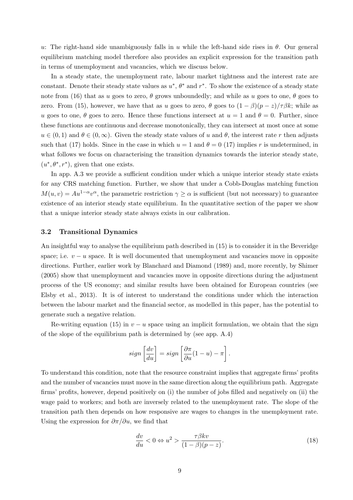u: The right-hand side unambiguously falls in u while the left-hand side rises in  $\theta$ . Our general equilibrium matching model therefore also provides an explicit expression for the transition path in terms of unemployment and vacancies, which we discuss below.

In a steady state, the unemployment rate, labour market tightness and the interest rate are constant. Denote their steady state values as  $u^*, \theta^*$  and  $r^*$ . To show the existence of a steady state note from (16) that as u goes to zero,  $\theta$  grows unboundedly; and while as u goes to one,  $\theta$  goes to zero. From (15), however, we have that as u goes to zero,  $\theta$  goes to  $(1 - \beta)(p - z)/\tau \beta k$ ; while as u goes to one,  $\theta$  goes to zero. Hence these functions intersect at  $u = 1$  and  $\theta = 0$ . Further, since these functions are continuous and decrease monotonically, they can intersect at most once at some  $u \in (0,1)$  and  $\theta \in (0,\infty)$ . Given the steady state values of u and  $\theta$ , the interest rate r then adjusts such that (17) holds. Since in the case in which  $u = 1$  and  $\theta = 0$  (17) implies r is undetermined, in what follows we focus on characterising the transition dynamics towards the interior steady state,  $(u^*, \theta^*, r^*)$ , given that one exists.

In app. A.3 we provide a sufficient condition under which a unique interior steady state exists for any CRS matching function. Further, we show that under a Cobb-Douglas matching function  $M(u, v) = Au^{1-\alpha}v^{\alpha}$ , the parametric restriction  $\gamma \geq \alpha$  is sufficient (but not necessary) to guarantee existence of an interior steady state equilibrium. In the quantitative section of the paper we show that a unique interior steady state always exists in our calibration.

#### 3.2 Transitional Dynamics

An insightful way to analyse the equilibrium path described in (15) is to consider it in the Beveridge space; i.e.  $v - u$  space. It is well documented that unemployment and vacancies move in opposite directions. Further, earlier work by Blanchard and Diamond (1989) and, more recently, by Shimer (2005) show that unemployment and vacancies move in opposite directions during the adjustment process of the US economy; and similar results have been obtained for European countries (see Elsby et al., 2013). It is of interest to understand the conditions under which the interaction between the labour market and the financial sector, as modelled in this paper, has the potential to generate such a negative relation.

Re-writing equation (15) in  $v - u$  space using an implicit formulation, we obtain that the sign of the slope of the equilibrium path is determined by (see app. A.4)

$$
sign\left[\frac{dv}{du}\right] = sign\left[\frac{\partial \pi}{\partial u}(1-u) - \pi\right].
$$

To understand this condition, note that the resource constraint implies that aggregate firms' profits and the number of vacancies must move in the same direction along the equilibrium path. Aggregate firms' profits, however, depend positively on (i) the number of jobs filled and negatively on (ii) the wage paid to workers; and both are inversely related to the unemployment rate. The slope of the transition path then depends on how responsive are wages to changes in the unemployment rate. Using the expression for  $\partial \pi / \partial u$ , we find that

$$
\frac{dv}{du} < 0 \Leftrightarrow u^2 > \frac{\tau \beta k v}{(1 - \beta)(p - z)}.\tag{18}
$$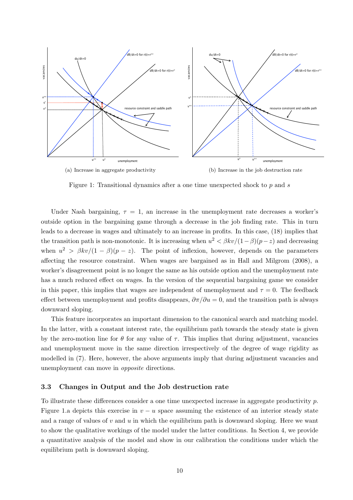

Figure 1: Transitional dynamics after a one time unexpected shock to  $p$  and  $s$ 

Under Nash bargaining,  $\tau = 1$ , an increase in the unemployment rate decreases a worker's outside option in the bargaining game through a decrease in the job finding rate. This in turn leads to a decrease in wages and ultimately to an increase in profits. In this case, (18) implies that the transition path is non-monotonic. It is increasing when  $u^2 < \beta k v/(1-\beta)(p-z)$  and decreasing when  $u^2 > \beta k v/(1-\beta)(p-z)$ . The point of inflexion, however, depends on the parameters affecting the resource constraint. When wages are bargained as in Hall and Milgrom (2008), a worker's disagreement point is no longer the same as his outside option and the unemployment rate has a much reduced effect on wages. In the version of the sequential bargaining game we consider in this paper, this implies that wages are independent of unemployment and  $\tau = 0$ . The feedback effect between unemployment and profits disappears,  $\frac{\partial \pi}{\partial u} = 0$ , and the transition path is always downward sloping.

This feature incorporates an important dimension to the canonical search and matching model. In the latter, with a constant interest rate, the equilibrium path towards the steady state is given by the zero-motion line for  $\theta$  for any value of  $\tau$ . This implies that during adjustment, vacancies and unemployment move in the same direction irrespectively of the degree of wage rigidity as modelled in (7). Here, however, the above arguments imply that during adjustment vacancies and unemployment can move in opposite directions.

#### 3.3 Changes in Output and the Job destruction rate

To illustrate these differences consider a one time unexpected increase in aggregate productivity p. Figure 1.a depicts this exercise in  $v - u$  space assuming the existence of an interior steady state and a range of values of  $v$  and  $u$  in which the equilibrium path is downward sloping. Here we want to show the qualitative workings of the model under the latter conditions. In Section 4, we provide a quantitative analysis of the model and show in our calibration the conditions under which the equilibrium path is downward sloping.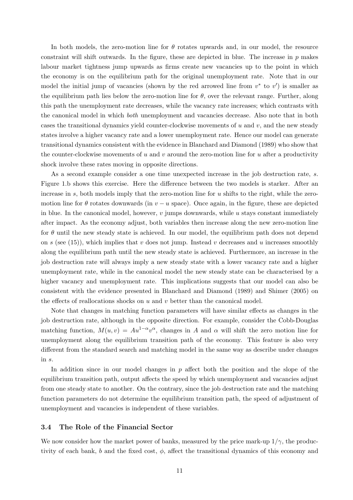In both models, the zero-motion line for  $\theta$  rotates upwards and, in our model, the resource constraint will shift outwards. In the figure, these are depicted in blue. The increase in  $p$  makes labour market tightness jump upwards as firms create new vacancies up to the point in which the economy is on the equilibrium path for the original unemployment rate. Note that in our model the initial jump of vacancies (shown by the red arrowed line from  $v^*$  to  $v'$ ) is smaller as the equilibrium path lies below the zero-motion line for  $\theta$ , over the relevant range. Further, along this path the unemployment rate decreases, while the vacancy rate increases; which contrasts with the canonical model in which both unemployment and vacancies decrease. Also note that in both cases the transitional dynamics yield counter-clockwise movements of  $u$  and  $v$ , and the new steady states involve a higher vacancy rate and a lower unemployment rate. Hence our model can generate transitional dynamics consistent with the evidence in Blanchard and Diamond (1989) who show that the counter-clockwise movements of u and v around the zero-motion line for u after a productivity shock involve these rates moving in opposite directions.

As a second example consider a one time unexpected increase in the job destruction rate, s. Figure 1.b shows this exercise. Here the difference between the two models is starker. After an increase in  $s$ , both models imply that the zero-motion line for  $u$  shifts to the right, while the zeromotion line for  $\theta$  rotates downwards (in  $v - u$  space). Once again, in the figure, these are depicted in blue. In the canonical model, however,  $v$  jumps downwards, while  $u$  stays constant immediately after impact. As the economy adjust, both variables then increase along the new zero-motion line for  $\theta$  until the new steady state is achieved. In our model, the equilibrium path does not depend on s (see (15)), which implies that v does not jump. Instead v decreases and u increases smoothly along the equilibrium path until the new steady state is achieved. Furthermore, an increase in the job destruction rate will always imply a new steady state with a lower vacancy rate and a higher unemployment rate, while in the canonical model the new steady state can be characterised by a higher vacancy and unemployment rate. This implications suggests that our model can also be consistent with the evidence presented in Blanchard and Diamond (1989) and Shimer (2005) on the effects of reallocations shocks on  $u$  and  $v$  better than the canonical model.

Note that changes in matching function parameters will have similar effects as changes in the job destruction rate, although in the opposite direction. For example, consider the Cobb-Douglas matching function,  $M(u, v) = Au^{1-\alpha}v^{\alpha}$ , changes in A and  $\alpha$  will shift the zero motion line for unemployment along the equilibrium transition path of the economy. This feature is also very different from the standard search and matching model in the same way as describe under changes in s.

In addition since in our model changes in  $p$  affect both the position and the slope of the equilibrium transition path, output affects the speed by which unemployment and vacancies adjust from one steady state to another. On the contrary, since the job destruction rate and the matching function parameters do not determine the equilibrium transition path, the speed of adjustment of unemployment and vacancies is independent of these variables.

#### 3.4 The Role of the Financial Sector

We now consider how the market power of banks, measured by the price mark-up  $1/\gamma$ , the productivity of each bank, b and the fixed cost,  $\phi$ , affect the transitional dynamics of this economy and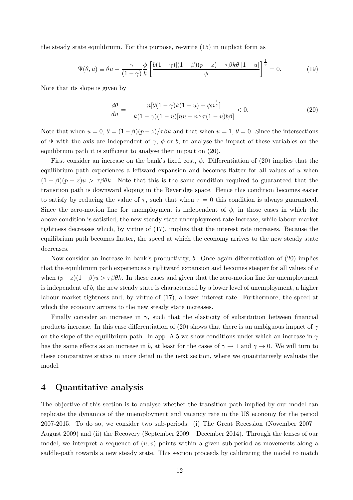the steady state equilibrium. For this purpose, re-write (15) in implicit form as

$$
\Psi(\theta, u) \equiv \theta u - \frac{\gamma}{(1 - \gamma)} \frac{\phi}{k} \left[ \frac{b(1 - \gamma)[(1 - \beta)(p - z) - \tau \beta k \theta][1 - u]}{\phi} \right]^{\frac{1}{\gamma}} = 0. \tag{19}
$$

Note that its slope is given by

$$
\frac{d\theta}{du} = -\frac{n[\theta(1-\gamma)k(1-u) + \phi n^{\frac{1}{\gamma}}]}{k(1-\gamma)(1-u)[nu + n^{\frac{1}{\gamma}}\tau(1-u)b\beta]} < 0.
$$
\n(20)

Note that when  $u = 0$ ,  $\theta = (1 - \beta)(p - z)/\tau \beta k$  and that when  $u = 1$ ,  $\theta = 0$ . Since the intersections of  $\Psi$  with the axis are independent of  $\gamma$ ,  $\phi$  or b, to analyse the impact of these variables on the equilibrium path it is sufficient to analyse their impact on (20).

First consider an increase on the bank's fixed cost,  $\phi$ . Differentiation of (20) implies that the equilibrium path experiences a leftward expansion and becomes flatter for all values of u when  $(1 - \beta)(p - z)u > \tau \beta \theta k$ . Note that this is the same condition required to guaranteed that the transition path is downward sloping in the Beveridge space. Hence this condition becomes easier to satisfy by reducing the value of  $\tau$ , such that when  $\tau = 0$  this condition is always guaranteed. Since the zero-motion line for unemployment is independent of  $\phi$ , in those cases in which the above condition is satisfied, the new steady state unemployment rate increase, while labour market tightness decreases which, by virtue of (17), implies that the interest rate increases. Because the equilibrium path becomes flatter, the speed at which the economy arrives to the new steady state decreases.

Now consider an increase in bank's productivity, b. Once again differentiation of (20) implies that the equilibrium path experiences a rightward expansion and becomes steeper for all values of  $u$ when  $(p-z)(1-\beta)u > \tau \beta \theta k$ . In these cases and given that the zero-motion line for unemployment is independent of b, the new steady state is characterised by a lower level of unemployment, a higher labour market tightness and, by virtue of (17), a lower interest rate. Furthermore, the speed at which the economy arrives to the new steady state increases.

Finally consider an increase in  $\gamma$ , such that the elasticity of substitution between financial products increase. In this case differentiation of (20) shows that there is an ambiguous impact of  $\gamma$ on the slope of the equilibrium path. In app. A.5 we show conditions under which an increase in  $\gamma$ has the same effects as an increase in b, at least for the cases of  $\gamma \to 1$  and  $\gamma \to 0$ . We will turn to these comparative statics in more detail in the next section, where we quantitatively evaluate the model.

### 4 Quantitative analysis

The objective of this section is to analyse whether the transition path implied by our model can replicate the dynamics of the unemployment and vacancy rate in the US economy for the period 2007-2015. To do so, we consider two sub-periods: (i) The Great Recession (November 2007 – August 2009) and (ii) the Recovery (September 2009 – December 2014). Through the lenses of our model, we interpret a sequence of  $(u, v)$  points within a given sub-period as movements along a saddle-path towards a new steady state. This section proceeds by calibrating the model to match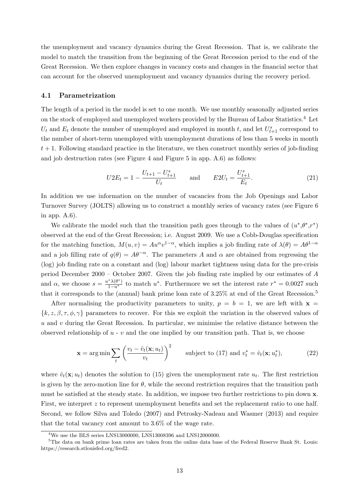the unemployment and vacancy dynamics during the Great Recession. That is, we calibrate the model to match the transition from the beginning of the Great Recession period to the end of the Great Recession. We then explore changes in vacancy costs and changes in the financial sector that can account for the observed unemployment and vacancy dynamics during the recovery period.

#### 4.1 Parametrization

The length of a period in the model is set to one month. We use monthly seasonally adjusted series on the stock of employed and unemployed workers provided by the Bureau of Labor Statistics.<sup>4</sup> Let  $U_t$  and  $E_t$  denote the number of unemployed and employed in month t, and let  $U_{t+1}^s$  correspond to the number of short-term unemployed with unemployment durations of less than 5 weeks in month  $t + 1$ . Following standard practice in the literature, we then construct monthly series of job-finding and job destruction rates (see Figure 4 and Figure 5 in app. A.6) as follows:

$$
U2E_t = 1 - \frac{U_{t+1} - U_{t+1}^s}{U_t} \quad \text{and} \quad E2U_t = \frac{U_{t+1}^s}{E_t}.
$$
 (21)

In addition we use information on the number of vacancies from the Job Openings and Labor Turnover Survey (JOLTS) allowing us to construct a monthly series of vacancy rates (see Figure 6 in app. A.6).

We calibrate the model such that the transition path goes through to the values of  $(u^*,\theta^*,r^*)$ observed at the end of the Great Recession; i.e. August 2009. We use a Cobb-Douglas specification for the matching function,  $M(u, v) = Au^{\alpha}v^{1-\alpha}$ , which implies a job finding rate of  $\lambda(\theta) = A\theta^{1-\alpha}$ and a job filling rate of  $q(\theta) = A\theta^{-\alpha}$ . The parameters A and  $\alpha$  are obtained from regressing the (log) job finding rate on a constant and (log) labour market tightness using data for the pre-crisis period December 2000 – October 2007. Given the job finding rate implied by our estimates of A and  $\alpha$ , we choose  $s = \frac{u^*\lambda(\theta^*)}{1-u^*}$  to match  $u^*$ . Furthermore we set the interest rate  $r^* = 0.0027$  such that it corresponds to the (annual) bank prime loan rate of 3.25% at end of the Great Recession.<sup>5</sup>

After normalising the productivity parameters to unity,  $p = b = 1$ , we are left with  $x =$  ${k, z, \beta, \tau, \phi, \gamma}$  parameters to recover. For this we exploit the variation in the observed values of  $u$  and  $v$  during the Great Recession. In particular, we minimise the relative distance between the observed relationship of  $u - v$  and the one implied by our transition path. That is, we choose

$$
\mathbf{x} = \arg\min \sum_{t} \left( \frac{v_t - \hat{v}_t(\mathbf{x}; u_t)}{v_t} \right)^2 \quad \text{subject to (17) and } v_t^* = \hat{v}_t(\mathbf{x}; u_t^*), \tag{22}
$$

where  $\hat{v}_t(\mathbf{x}; u_t)$  denotes the solution to (15) given the unemployment rate  $u_t$ . The first restriction is given by the zero-motion line for  $\theta$ , while the second restriction requires that the transition path must be satisfied at the steady state. In addition, we impose two further restrictions to pin down x. First, we interpret z to represent unemployment benefits and set the replacement ratio to one half. Second, we follow Silva and Toledo (2007) and Petrosky-Nadeau and Wasmer (2013) and require that the total vacancy cost amount to 3.6% of the wage rate.

<sup>&</sup>lt;sup>4</sup>We use the BLS series LNS13000000, LNS13008396 and LNS12000000.

<sup>&</sup>lt;sup>5</sup>The data on bank prime loan rates are taken from the online data base of the Federal Reserve Bank St. Louis: https://research.stlouisfed.org/fred2.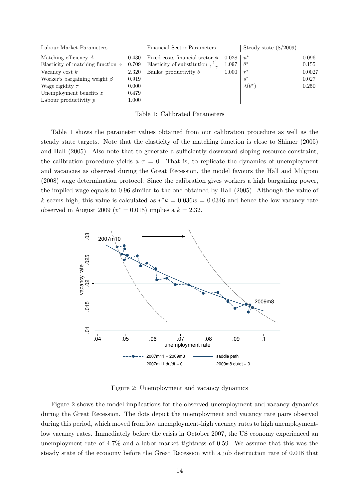| Labour Market Parameters                       |           | <b>Financial Sector Parameters</b>              |       | Steady state $(8/2009)$ |        |
|------------------------------------------------|-----------|-------------------------------------------------|-------|-------------------------|--------|
| Matching efficiency $A$                        | 0.430     | Fixed costs financial sector $\phi$             | 0.028 | $u^*$                   | 0.096  |
| Elasticity of matching function $\alpha$ 0.709 |           | Elasticity of substitution $\frac{1}{1-\gamma}$ | 1.097 | $\theta^*$              | 0.155  |
| Vacancy cost $k$                               | 2.320     | Banks' productivity b                           | 1.000 | $r^*$                   | 0.0027 |
| Worker's bargaining weight $\beta$             | 0.919     |                                                 |       |                         | 0.027  |
| Wage rigidity $\tau$                           | 0.000     |                                                 |       | $\lambda(\theta^*)$     | 0.250  |
| Unemployment benefits $z$                      | 0.479     |                                                 |       |                         |        |
| Labour productivity $p$                        | $1.000\,$ |                                                 |       |                         |        |

Table 1: Calibrated Parameters

Table 1 shows the parameter values obtained from our calibration procedure as well as the steady state targets. Note that the elasticity of the matching function is close to Shimer (2005) and Hall (2005). Also note that to generate a sufficiently downward sloping resource constraint, the calibration procedure yields a  $\tau = 0$ . That is, to replicate the dynamics of unemployment and vacancies as observed during the Great Recession, the model favours the Hall and Milgrom (2008) wage determination protocol. Since the calibration gives workers a high bargaining power, the implied wage equals to 0.96 similar to the one obtained by Hall (2005). Although the value of k seems high, this value is calculated as  $v^*k = 0.036w = 0.0346$  and hence the low vacancy rate observed in August 2009 ( $v^* = 0.015$ ) implies a  $k = 2.32$ .



Figure 2: Unemployment and vacancy dynamics

Figure 2 shows the model implications for the observed unemployment and vacancy dynamics during the Great Recession. The dots depict the unemployment and vacancy rate pairs observed during this period, which moved from low unemployment-high vacancy rates to high unemploymentlow vacancy rates. Immediately before the crisis in October 2007, the US economy experienced an unemployment rate of 4.7% and a labor market tightness of 0.59. We assume that this was the steady state of the economy before the Great Recession with a job destruction rate of 0.018 that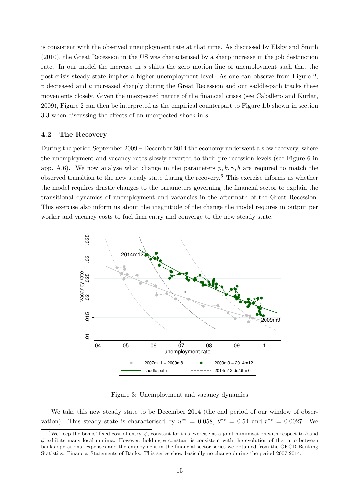is consistent with the observed unemployment rate at that time. As discussed by Elsby and Smith (2010), the Great Recession in the US was characterised by a sharp increase in the job destruction rate. In our model the increase in s shifts the zero motion line of unemployment such that the post-crisis steady state implies a higher unemployment level. As one can observe from Figure 2,  $v$  decreased and  $u$  increased sharply during the Great Recession and our saddle-path tracks these movements closely. Given the unexpected nature of the financial crises (see Caballero and Kurlat, 2009), Figure 2 can then be interpreted as the empirical counterpart to Figure 1.b shown in section 3.3 when discussing the effects of an unexpected shock in s.

#### 4.2 The Recovery

During the period September 2009 – December 2014 the economy underwent a slow recovery, where the unemployment and vacancy rates slowly reverted to their pre-recession levels (see Figure 6 in app. A.6). We now analyse what change in the parameters  $p, k, \gamma, b$  are required to match the observed transition to the new steady state during the recovery.<sup>6</sup> This exercise informs us whether the model requires drastic changes to the parameters governing the financial sector to explain the transitional dynamics of unemployment and vacancies in the aftermath of the Great Recession. This exercise also inform us about the magnitude of the change the model requires in output per worker and vacancy costs to fuel firm entry and converge to the new steady state.



Figure 3: Unemployment and vacancy dynamics

We take this new steady state to be December 2014 (the end period of our window of observation). This steady state is characterised by  $u^{**} = 0.058$ ,  $\theta^{**} = 0.54$  and  $r^{**} = 0.0027$ . We

<sup>&</sup>lt;sup>6</sup>We keep the banks' fixed cost of entry,  $\phi$ , constant for this exercise as a joint minimisation with respect to b and  $\phi$  exhibits many local minima. However, holding  $\phi$  constant is consistent with the evolution of the ratio between banks operational expenses and the employment in the financial sector series we obtained from the OECD Banking Statistics: Financial Statements of Banks. This series show basically no change during the period 2007-2014.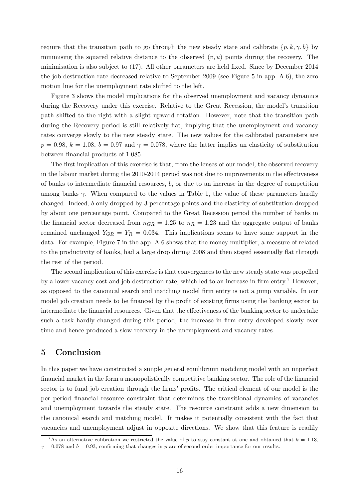require that the transition path to go through the new steady state and calibrate  $\{p, k, \gamma, b\}$  by minimising the squared relative distance to the observed  $(v, u)$  points during the recovery. The minimisation is also subject to (17). All other parameters are held fixed. Since by December 2014 the job destruction rate decreased relative to September 2009 (see Figure 5 in app. A.6), the zero motion line for the unemployment rate shifted to the left.

Figure 3 shows the model implications for the observed unemployment and vacancy dynamics during the Recovery under this exercise. Relative to the Great Recession, the model's transition path shifted to the right with a slight upward rotation. However, note that the transition path during the Recovery period is still relatively flat, implying that the unemployment and vacancy rates converge slowly to the new steady state. The new values for the calibrated parameters are  $p = 0.98$ ,  $k = 1.08$ ,  $b = 0.97$  and  $\gamma = 0.078$ , where the latter implies an elasticity of substitution between financial products of 1.085.

The first implication of this exercise is that, from the lenses of our model, the observed recovery in the labour market during the 2010-2014 period was not due to improvements in the effectiveness of banks to intermediate financial resources, b, or due to an increase in the degree of competition among banks  $\gamma$ . When compared to the values in Table 1, the value of these parameters hardly changed. Indeed, b only dropped by 3 percentage points and the elasticity of substitution dropped by about one percentage point. Compared to the Great Recession period the number of banks in the financial sector decreased from  $n_{GR} = 1.25$  to  $n_R = 1.23$  and the aggregate output of banks remained unchanged  $Y_{GR} = Y_R = 0.034$ . This implications seems to have some support in the data. For example, Figure 7 in the app. A.6 shows that the money multiplier, a measure of related to the productivity of banks, had a large drop during 2008 and then stayed essentially flat through the rest of the period.

The second implication of this exercise is that convergences to the new steady state was propelled by a lower vacancy cost and job destruction rate, which led to an increase in firm entry.<sup>7</sup> However, as opposed to the canonical search and matching model firm entry is not a jump variable. In our model job creation needs to be financed by the profit of existing firms using the banking sector to intermediate the financial resources. Given that the effectiveness of the banking sector to undertake such a task hardly changed during this period, the increase in firm entry developed slowly over time and hence produced a slow recovery in the unemployment and vacancy rates.

## 5 Conclusion

In this paper we have constructed a simple general equilibrium matching model with an imperfect financial market in the form a monopolistically competitive banking sector. The role of the financial sector is to fund job creation through the firms' profits. The critical element of our model is the per period financial resource constraint that determines the transitional dynamics of vacancies and unemployment towards the steady state. The resource constraint adds a new dimension to the canonical search and matching model. It makes it potentially consistent with the fact that vacancies and unemployment adjust in opposite directions. We show that this feature is readily

<sup>&</sup>lt;sup>7</sup>As an alternative calibration we restricted the value of p to stay constant at one and obtained that  $k = 1.13$ .  $\gamma = 0.078$  and  $b = 0.93$ , confirming that changes in p are of second order importance for our results.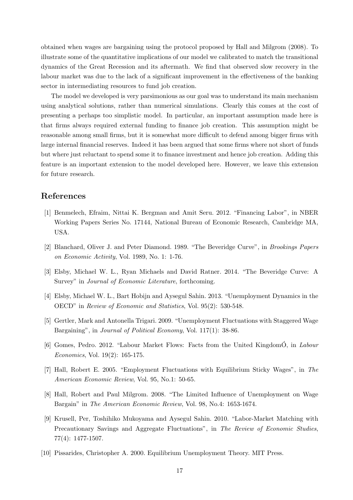obtained when wages are bargaining using the protocol proposed by Hall and Milgrom (2008). To illustrate some of the quantitative implications of our model we calibrated to match the transitional dynamics of the Great Recession and its aftermath. We find that observed slow recovery in the labour market was due to the lack of a significant improvement in the effectiveness of the banking sector in intermediating resources to fund job creation.

The model we developed is very parsimonious as our goal was to understand its main mechanism using analytical solutions, rather than numerical simulations. Clearly this comes at the cost of presenting a perhaps too simplistic model. In particular, an important assumption made here is that firms always required external funding to finance job creation. This assumption might be reasonable among small firms, but it is somewhat more difficult to defend among bigger firms with large internal financial reserves. Indeed it has been argued that some firms where not short of funds but where just reluctant to spend some it to finance investment and hence job creation. Adding this feature is an important extension to the model developed here. However, we leave this extension for future research.

## References

- [1] Benmelech, Efraim, Nittai K. Bergman and Amit Seru. 2012. "Financing Labor", in NBER Working Papers Series No. 17144, National Bureau of Economic Research, Cambridge MA, USA.
- [2] Blanchard, Oliver J. and Peter Diamond. 1989. "The Beveridge Curve", in Brookings Papers on Economic Activity, Vol. 1989, No. 1: 1-76.
- [3] Elsby, Michael W. L., Ryan Michaels and David Ratner. 2014. "The Beveridge Curve: A Survey" in *Journal of Economic Literature*, forthcoming.
- [4] Elsby, Michael W. L., Bart Hobijn and Aysegul Sahin. 2013. "Unemployment Dynamics in the OECD" in Review of Economic and Statistics, Vol. 95(2): 530-548.
- [5] Gertler, Mark and Antonella Trigari. 2009. "Unemployment Fluctuations with Staggered Wage Bargaining", in Journal of Political Economy, Vol. 117(1): 38-86.
- [6] Gomes, Pedro. 2012. "Labour Market Flows: Facts from the United KingdomÓ, in *Labour* Economics, Vol. 19(2): 165-175.
- [7] Hall, Robert E. 2005. "Employment Fluctuations with Equilibrium Sticky Wages", in The American Economic Review, Vol. 95, No.1: 50-65.
- [8] Hall, Robert and Paul Milgrom. 2008. "The Limited Influence of Unemployment on Wage Bargain" in The American Economic Review, Vol. 98, No.4: 1653-1674.
- [9] Krusell, Per, Toshihiko Mukoyama and Aysegul Sahin. 2010. "Labor-Market Matching with Precautionary Savings and Aggregate Fluctuations", in The Review of Economic Studies, 77(4): 1477-1507.
- [10] Pissarides, Christopher A. 2000. Equilibrium Unemployment Theory. MIT Press.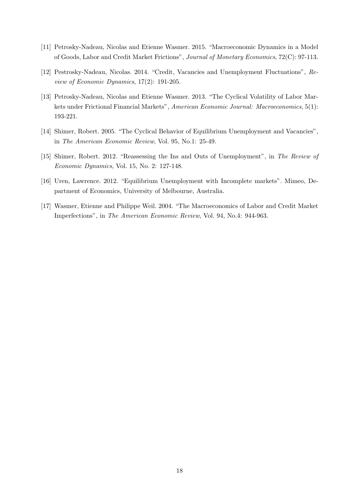- [11] Petrosky-Nadeau, Nicolas and Etienne Wasmer. 2015. "Macroeconomic Dynamics in a Model of Goods, Labor and Credit Market Frictions", Journal of Monetary Economics, 72(C): 97-113.
- [12] Pestrosky-Nadeau, Nicolas. 2014. "Credit, Vacancies and Unemployment Fluctuations", Review of Economic Dynamics, 17(2): 191-205.
- [13] Petrosky-Nadeau, Nicolas and Etienne Wasmer. 2013. "The Cyclical Volatility of Labor Markets under Frictional Financial Markets", American Economic Journal: Macroeconomics, 5(1): 193-221.
- [14] Shimer, Robert. 2005. "The Cyclical Behavior of Equilibrium Unemployment and Vacancies", in The American Economic Review, Vol. 95, No.1: 25-49.
- [15] Shimer, Robert. 2012. "Reassessing the Ins and Outs of Unemployment", in The Review of Economic Dynamics, Vol. 15, No. 2: 127-148.
- [16] Uren, Lawrence. 2012. "Equilibrium Unemployment with Incomplete markets". Mimeo, Department of Economics, University of Melbourne, Australia.
- [17] Wasmer, Etienne and Philippe Weil. 2004. "The Macroeconomics of Labor and Credit Market Imperfections", in The American Economic Review, Vol. 94, No.4: 944-963.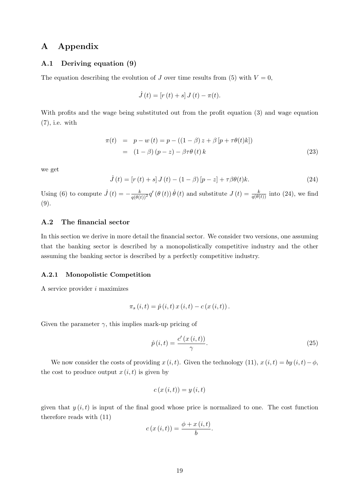## A Appendix

#### A.1 Deriving equation (9)

The equation describing the evolution of J over time results from (5) with  $V = 0$ ,

$$
\dot{J}(t) = [r(t) + s] J(t) - \pi(t).
$$

With profits and the wage being substituted out from the profit equation (3) and wage equation (7), i.e. with

$$
\pi(t) = p - w(t) = p - ((1 - \beta) z + \beta [p + \tau \theta(t) k])
$$
  
= 
$$
(1 - \beta) (p - z) - \beta \tau \theta (t) k
$$
 (23)

we get

$$
\dot{J}(t) = [r(t) + s] J(t) - (1 - \beta) [p - z] + \tau \beta \theta(t) k.
$$
 (24)

Using (6) to compute  $\dot{J}(t) = -\frac{k}{q(\theta(t))^{2}} q'(\theta(t)) \dot{\theta}(t)$  and substitute  $J(t) = \frac{k}{q(\theta(t))}$  into (24), we find (9).

### A.2 The financial sector

In this section we derive in more detail the financial sector. We consider two versions, one assuming that the banking sector is described by a monopolistically competitive industry and the other assuming the banking sector is described by a perfectly competitive industry.

#### A.2.1 Monopolistic Competition

A service provider  $i$  maximizes

$$
\pi_{s}(i,t) = \hat{p}(i,t) x(i,t) - c(x(i,t)).
$$

Given the parameter  $\gamma$ , this implies mark-up pricing of

$$
\hat{p}(i,t) = \frac{c'(x(i,t))}{\gamma}.
$$
\n(25)

We now consider the costs of providing  $x(i, t)$ . Given the technology (11),  $x(i, t) = by (i, t) - \phi$ , the cost to produce output  $x(i, t)$  is given by

$$
c(x(i,t)) = y(i,t)
$$

given that  $y(i, t)$  is input of the final good whose price is normalized to one. The cost function therefore reads with (11)

$$
c(x(i,t)) = \frac{\phi + x(i,t)}{b}.
$$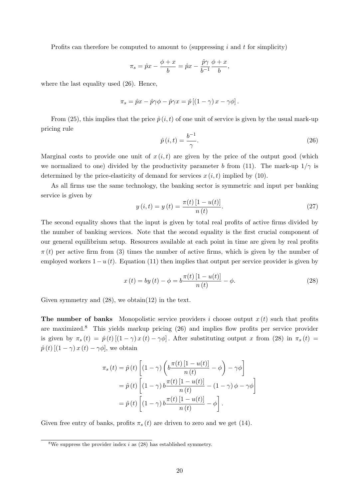Profits can therefore be computed to amount to (suppressing  $i$  and  $t$  for simplicity)

$$
\pi_s = \hat{p}x - \frac{\phi + x}{b} = \hat{p}x - \frac{\hat{p}\gamma}{b^{-1}}\frac{\phi + x}{b},
$$

where the last equality used (26). Hence,

$$
\pi_s = \hat{p}x - \hat{p}\gamma\phi - \hat{p}\gamma x = \hat{p}\left[\left(1 - \gamma\right)x - \gamma\phi\right].
$$

From (25), this implies that the price  $\hat{p}(i, t)$  of one unit of service is given by the usual mark-up pricing rule

$$
\hat{p}(i,t) = \frac{b^{-1}}{\gamma}.
$$
\n(26)

Marginal costs to provide one unit of  $x(i, t)$  are given by the price of the output good (which we normalized to one) divided by the productivity parameter b from (11). The mark-up  $1/\gamma$  is determined by the price-elasticity of demand for services  $x(i, t)$  implied by (10).

As all firms use the same technology, the banking sector is symmetric and input per banking service is given by

$$
y(i,t) = y(t) = \frac{\pi(t) [1 - u(t)]}{n(t)}.
$$
\n(27)

The second equality shows that the input is given by total real profits of active firms divided by the number of banking services. Note that the second equality is the first crucial component of our general equilibrium setup. Resources available at each point in time are given by real profits  $\pi(t)$  per active firm from (3) times the number of active firms, which is given by the number of employed workers  $1-u(t)$ . Equation (11) then implies that output per service provider is given by

$$
x(t) = by(t) - \phi = b \frac{\pi(t) [1 - u(t)]}{n(t)} - \phi.
$$
 (28)

Given symmetry and  $(28)$ , we obtain $(12)$  in the text.

**The number of banks** Monopolistic service providers i choose output  $x(t)$  such that profits are maximized.<sup>8</sup> This yields markup pricing  $(26)$  and implies flow profits per service provider is given by  $\pi_s(t) = \hat{p}(t) [(1 - \gamma) x(t) - \gamma \phi]$ . After substituting output x from (28) in  $\pi_s(t) =$  $\hat{p}(t)$  [ $(1 - \gamma)x(t) - \gamma\phi$ ], we obtain

$$
\pi_s(t) = \hat{p}(t) \left[ (1 - \gamma) \left( b \frac{\pi(t) [1 - u(t)]}{n(t)} - \phi \right) - \gamma \phi \right]
$$

$$
= \hat{p}(t) \left[ (1 - \gamma) b \frac{\pi(t) [1 - u(t)]}{n(t)} - (1 - \gamma) \phi - \gamma \phi \right]
$$

$$
= \hat{p}(t) \left[ (1 - \gamma) b \frac{\pi(t) [1 - u(t)]}{n(t)} - \phi \right].
$$

Given free entry of banks, profits  $\pi_s(t)$  are driven to zero and we get (14).

<sup>&</sup>lt;sup>8</sup>We suppress the provider index i as  $(28)$  has established symmetry.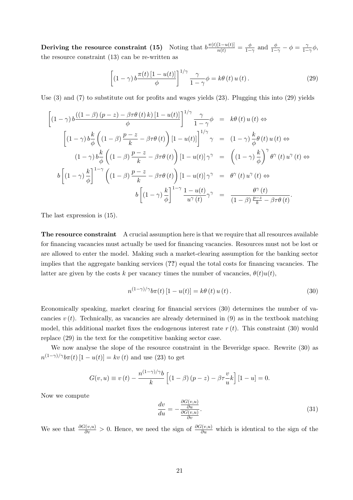Deriving the resource constraint (15) Noting that  $b \frac{\pi(t)[1-u(t)]}{n(t)} = \frac{\phi}{1-t}$  $\frac{\phi}{1-\gamma}$  and  $\frac{\phi}{1-\gamma} - \phi = \frac{\gamma}{1-\gamma}$  $\frac{\gamma}{1-\gamma}\phi,$ the resource constraint (13) can be re-written as

$$
\left[ (1 - \gamma) b \frac{\pi(t) \left[ 1 - u(t) \right]}{\phi} \right]^{1/\gamma} \frac{\gamma}{1 - \gamma} \phi = k\theta(t) u(t).
$$
 (29)

Use (3) and (7) to substitute out for profits and wages yields (23). Plugging this into (29) yields

$$
\left[ (1 - \gamma) b \frac{((1 - \beta) (p - z) - \beta \tau \theta (t) k) [1 - u(t)]}{\phi} \right]^{1/\gamma} \frac{\gamma}{1 - \gamma} \phi = k \theta (t) u(t) \Leftrightarrow
$$
\n
$$
\left[ (1 - \gamma) b \frac{k}{\phi} \left( (1 - \beta) \frac{p - z}{k} - \beta \tau \theta (t) \right) [1 - u(t)] \right]^{1/\gamma} \gamma = (1 - \gamma) \frac{k}{\phi} \theta (t) u(t) \Leftrightarrow
$$
\n
$$
(1 - \gamma) b \frac{k}{\phi} \left( (1 - \beta) \frac{p - z}{k} - \beta \tau \theta (t) \right) [1 - u(t)] \gamma^{\gamma} = \left( (1 - \gamma) \frac{k}{\phi} \right)^{\gamma} \theta^{\gamma} (t) u^{\gamma} (t) \Leftrightarrow
$$
\n
$$
b \left[ (1 - \gamma) \frac{k}{\phi} \right]^{1 - \gamma} \left( (1 - \beta) \frac{p - z}{k} - \beta \tau \theta (t) \right) [1 - u(t)] \gamma^{\gamma} = \theta^{\gamma} (t) u^{\gamma} (t) \Leftrightarrow
$$
\n
$$
b \left[ (1 - \gamma) \frac{k}{\phi} \right]^{1 - \gamma} \frac{1 - u(t)}{u^{\gamma} (t)} \gamma^{\gamma} = \frac{\theta^{\gamma} (t)}{(1 - \beta) \frac{p - z}{k} - \beta \tau \theta (t)}.
$$

The last expression is (15).

The resource constraint A crucial assumption here is that we require that all resources available for financing vacancies must actually be used for financing vacancies. Resources must not be lost or are allowed to enter the model. Making such a market-clearing assumption for the banking sector implies that the aggregate banking services (??) equal the total costs for financing vacancies. The latter are given by the costs k per vacancy times the number of vacancies,  $\theta(t)u(t)$ ,

$$
n^{(1-\gamma)/\gamma}b\pi(t)[1-u(t)] = k\theta(t)u(t).
$$
\n(30)

Economically speaking, market clearing for financial services (30) determines the number of vacancies  $v(t)$ . Technically, as vacancies are already determined in (9) as in the textbook matching model, this additional market fixes the endogenous interest rate  $r(t)$ . This constraint (30) would replace (29) in the text for the competitive banking sector case.

We now analyse the slope of the resource constraint in the Beveridge space. Rewrite (30) as  $n^{(1-\gamma)/\gamma}b\pi(t)$   $[1-u(t)] = kv(t)$  and use (23) to get

$$
G(v, u) \equiv v(t) - \frac{n^{(1-\gamma)/\gamma}b}{k} \left[ (1-\beta)(p-z) - \beta \tau \frac{v}{u} k \right] [1-u] = 0.
$$

Now we compute

$$
\frac{dv}{du} = -\frac{\frac{\partial G(v, u)}{\partial u}}{\frac{\partial G(v, u)}{\partial v}}.\tag{31}
$$

We see that  $\frac{\partial G(v,u)}{\partial v} > 0$ . Hence, we need the sign of  $\frac{\partial G(v,u)}{\partial u}$  which is identical to the sign of the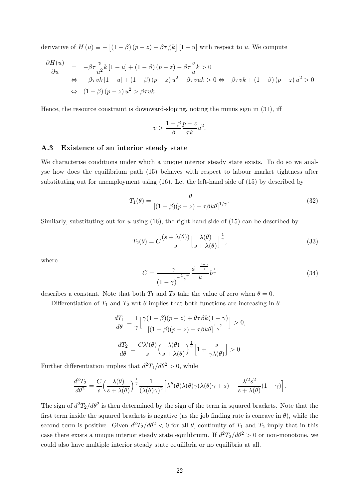derivative of  $H(u) \equiv -[(1 - \beta)(p - z) - \beta \tau \frac{v}{u}k]$  [1 – u] with respect to u. We compute

$$
\frac{\partial H(u)}{\partial u} = -\beta \tau \frac{v}{u^2} k \left[ 1 - u \right] + (1 - \beta) (p - z) - \beta \tau \frac{v}{u} k > 0
$$
  
\n
$$
\Leftrightarrow -\beta \tau v k \left[ 1 - u \right] + (1 - \beta) (p - z) u^2 - \beta \tau v u k > 0 \Leftrightarrow -\beta \tau v k + (1 - \beta) (p - z) u^2 > 0
$$
  
\n
$$
\Leftrightarrow (1 - \beta) (p - z) u^2 > \beta \tau v k.
$$

Hence, the resource constraint is downward-sloping, noting the minus sign in (31), iff

$$
v > \frac{1-\beta}{\beta} \frac{p-z}{\tau k} u^2.
$$

#### A.3 Existence of an interior steady state

We characterise conditions under which a unique interior steady state exists. To do so we analyse how does the equilibrium path (15) behaves with respect to labour market tightness after substituting out for unemployment using (16). Let the left-hand side of (15) by described by

$$
T_1(\theta) = \frac{\theta}{\left[ (1-\beta)(p-z) - \tau \beta k \theta \right]^{1/\gamma}}.
$$
\n(32)

Similarly, substituting out for u using  $(16)$ , the right-hand side of  $(15)$  can be described by

$$
T_2(\theta) = C \frac{(s + \lambda(\theta))}{s} \left[ \frac{\lambda(\theta)}{s + \lambda(\theta)} \right]^{\frac{1}{\gamma}},
$$
\n(33)

where

$$
C = \frac{\gamma}{\left(1-\gamma\right)^{-\frac{1-\gamma}{\gamma}}} \frac{\phi^{-\frac{1-\gamma}{\gamma}}}{k} b^{\frac{1}{\gamma}}
$$
(34)

describes a constant. Note that both  $T_1$  and  $T_2$  take the value of zero when  $\theta = 0$ .

Differentiation of  $T_1$  and  $T_2$  wrt  $\theta$  implies that both functions are increasing in  $\theta$ .

$$
\frac{dT_1}{d\theta} = \frac{1}{\gamma} \left[ \frac{\gamma (1 - \beta)(p - z) + \theta \tau \beta k (1 - \gamma)}{\left[ (1 - \beta)(p - z) - \tau \beta k \theta \right]^{\frac{1 - \gamma}{\gamma}}} \right] > 0,
$$

$$
\frac{dT_2}{d\theta} = \frac{C\lambda'(\theta)}{s} \left( \frac{\lambda(\theta)}{s + \lambda(\theta)} \right)^{\frac{1}{\gamma}} \left[ 1 + \frac{s}{\gamma \lambda(\theta)} \right] > 0.
$$

Further differentiation implies that  $d^2T_1/d\theta^2 > 0$ , while

$$
\frac{d^2T_2}{d\theta^2} = \frac{C}{s} \left( \frac{\lambda(\theta)}{s + \lambda(\theta)} \right)^{\frac{1}{\gamma}} \frac{1}{(\lambda(\theta)\gamma)^2} \left[ \lambda''(\theta)\lambda(\theta)\gamma(\lambda(\theta)\gamma + s) + \frac{\lambda'^2 s^2}{s + \lambda(\theta)} (1 - \gamma) \right].
$$

The sign of  $d^2T_2/d\theta^2$  is then determined by the sign of the term in squared brackets. Note that the first term inside the squared brackets is negative (as the job finding rate is concave in  $\theta$ ), while the second term is positive. Given  $d^2T_2/d\theta^2 < 0$  for all  $\theta$ , continuity of  $T_1$  and  $T_2$  imply that in this case there exists a unique interior steady state equilibrium. If  $d^2T_2/d\theta^2 > 0$  or non-monotone, we could also have multiple interior steady state equilibria or no equilibria at all.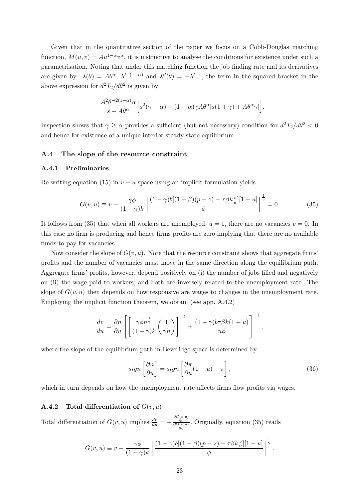Given that in the quantitative section of the paper we focus on a Cobb-Douglas matching function,  $M(u, v) = Au^{1-\alpha}v^{\alpha}$ , it is instructive to analyse the conditions for existence under such a parametrisation. Noting that under this matching function the job finding rate and its derivatives are given by:  $\lambda(\theta) = A\theta^{\alpha}, \lambda'^{-(1-\alpha)}$  and  $\lambda''(\theta) = -\lambda'^{-1}$ , the term in the squared bracket in the above expression for  $d^2T_2/d\theta^2$  is given by

$$
-\frac{A^2\theta^{-2(1-\alpha)}\alpha}{s+A\theta^\alpha}\Big[s^2(\gamma-\alpha)+(1-\alpha)\gamma A\theta^\alpha[s(1+\gamma)+A\theta^\alpha\gamma]\Big].
$$

Inspection shows that  $\gamma \geq \alpha$  provides a sufficient (but not necessary) condition for  $d^2T_2/d\theta^2 < 0$ and hence for existence of a unique interior steady state equilibrium.

#### A.4 The slope of the resource constraint

#### A.4.1 Preliminaries

Re-writing equation (15) in  $v - u$  space using an implicit formulation yields

$$
G(v, u) \equiv v - \frac{\gamma \phi}{(1 - \gamma)k} \left[ \frac{(1 - \gamma)b[(1 - \beta)(p - z) - \tau \beta k \frac{v}{u}][1 - u]}{\phi} \right]^{\frac{1}{\gamma}} = 0.
$$
 (35)

It follows from (35) that when all workers are unemployed,  $u = 1$ , there are no vacancies  $v = 0$ . In this case no firm is producing and hence firms profits are zero implying that there are no available funds to pay for vacancies.

Now consider the slope of  $G(v, u)$ . Note that the resource constraint shows that aggregate firms' profits and the number of vacancies must move in the same direction along the equilibrium path. Aggregate firms' profits, however, depend positively on (i) the number of jobs filled and negatively on (ii) the wage paid to workers; and both are inversely related to the unemployment rate. The slope of  $G(v, u)$  then depends on how responsive are wages to changes in the unemployment rate. Employing the implicit function theorem, we obtain (see app. A.4.2)

$$
\frac{dv}{du} = \frac{\partial n}{\partial u} \left[ \left[ \frac{\gamma \phi n^{\frac{1}{\gamma}}}{(1-\gamma)k} \left( \frac{1}{\gamma n} \right) \right]^{-1} + \frac{(1-\gamma)b\tau \beta k(1-u)}{u\phi} \right]^{-1},
$$

where the slope of the equilibrium path in Beveridge space is determined by

$$
sign\left[\frac{\partial n}{\partial u}\right] = sign\left[\frac{\partial \pi}{\partial u}(1-u) - \pi\right],\tag{36}
$$

which in turn depends on how the unemployment rate affects firms flow profits via wages.

#### A.4.2 Total differentiation of  $G(v, u)$

Total differentiation of  $G(v, u)$  implies  $\frac{dv}{du} = -\frac{\frac{\partial G(v, u)}{\partial u}}{\frac{\partial G(v, u)}{\partial v}}$ . Originally, equation (35) reads

$$
G(v, u) \equiv v - \frac{\gamma \phi}{(1 - \gamma)k} \left[ \frac{(1 - \gamma)b[(1 - \beta)(p - z) - \tau \beta k \frac{v}{u}][1 - u]}{\phi} \right]^{\frac{1}{\gamma}}.
$$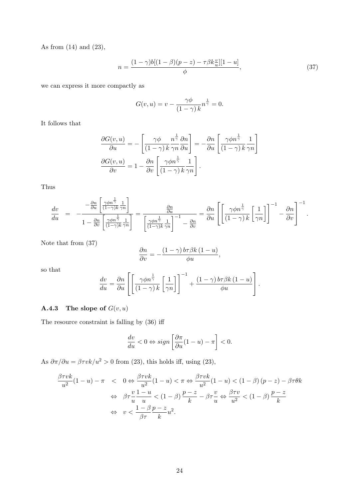As from (14) and (23),

$$
n = \frac{(1 - \gamma)b[(1 - \beta)(p - z) - \tau\beta k \frac{v}{u}][1 - u]}{\phi},
$$
\n(37)

we can express it more compactly as

$$
G(v, u) = v - \frac{\gamma \phi}{(1 - \gamma) k} n^{\frac{1}{\gamma}} = 0.
$$

It follows that

$$
\frac{\partial G(v, u)}{\partial u} = -\left[\frac{\gamma \phi}{(1 - \gamma) k} \frac{n^{\frac{1}{\gamma}}}{\gamma n} \frac{\partial n}{\partial u}\right] = -\frac{\partial n}{\partial u} \left[\frac{\gamma \phi n^{\frac{1}{\gamma}}}{(1 - \gamma) k} \frac{1}{\gamma n}\right]
$$

$$
\frac{\partial G(v, u)}{\partial v} = 1 - \frac{\partial n}{\partial v} \left[\frac{\gamma \phi n^{\frac{1}{\gamma}}}{(1 - \gamma) k} \frac{1}{\gamma n}\right].
$$

Thus

$$
\frac{dv}{du} = -\frac{-\frac{\partial n}{\partial u} \left[ \frac{\gamma \phi n^{\frac{1}{\gamma}}}{(1-\gamma)k} \frac{1}{\gamma n} \right]}{1 - \frac{\partial n}{\partial v} \left[ \frac{\gamma \phi n^{\frac{1}{\gamma}}}{(1-\gamma)k} \frac{1}{\gamma n} \right]} = \frac{\frac{\partial n}{\partial u}}{\left[ \frac{\gamma \phi n^{\frac{1}{\gamma}}}{(1-\gamma)k} \frac{1}{\gamma n} \right]^{-1} - \frac{\partial n}{\partial v}} = \frac{\partial n}{\partial u} \left[ \left[ \frac{\gamma \phi n^{\frac{1}{\gamma}}}{(1-\gamma)k} \left[ \frac{1}{\gamma n} \right] \right]^{-1} - \frac{\partial n}{\partial v} \right]^{-1}.
$$

Note that from (37)

$$
\frac{\partial n}{\partial v} = -\frac{(1-\gamma) b \tau \beta k (1-u)}{\phi u},
$$

so that

$$
\frac{dv}{du} = \frac{\partial n}{\partial u} \left[ \left[ \frac{\gamma \phi n^{\frac{1}{\gamma}}}{(1-\gamma) k} \left[ \frac{1}{\gamma n} \right] \right]^{-1} + \frac{(1-\gamma) b \tau \beta k (1-u)}{\phi u} \right].
$$

## **A.4.3** The slope of  $G(v, u)$

The resource constraint is falling by (36) iff

$$
\frac{dv}{du} < 0 \Leftrightarrow sign\left[\frac{\partial \pi}{\partial u}(1-u) - \pi\right] < 0.
$$

As  $\partial \pi / \partial u = \beta \tau v k / u^2 > 0$  from (23), this holds iff, using (23),

$$
\frac{\beta \tau vk}{u^2} (1 - u) - \pi < 0 \Leftrightarrow \frac{\beta \tau vk}{u^2} (1 - u) < \pi \Leftrightarrow \frac{\beta \tau vk}{u^2} (1 - u) < (1 - \beta) (p - z) - \beta \tau \theta k
$$
\n
$$
\Leftrightarrow \beta \tau \frac{v}{u} \frac{1 - u}{u} < (1 - \beta) \frac{p - z}{k} - \beta \tau \frac{v}{u} \Leftrightarrow \frac{\beta \tau v}{u^2} < (1 - \beta) \frac{p - z}{k}
$$
\n
$$
\Leftrightarrow v < \frac{1 - \beta}{\beta \tau} \frac{p - z}{k} u^2.
$$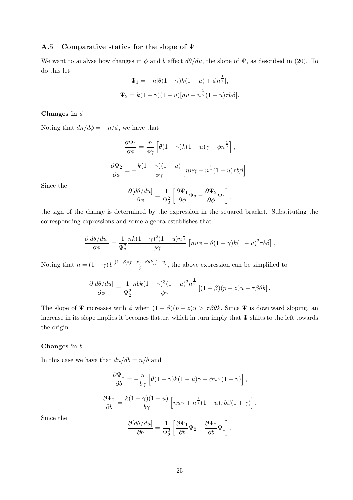#### A.5 Comparative statics for the slope of  $\Psi$

We want to analyse how changes in  $\phi$  and b affect  $d\theta/du$ , the slope of  $\Psi$ , as described in (20). To do this let

$$
\Psi_1 = -n[\theta(1-\gamma)k(1-u) + \phi n^{\frac{1}{\gamma}}],
$$
  

$$
\Psi_2 = k(1-\gamma)(1-u)[nu + n^{\frac{1}{\gamma}}(1-u)\tau b\beta].
$$

#### Changes in  $\phi$

Noting that  $dn/d\phi = -n/\phi$ , we have that

$$
\frac{\partial \Psi_1}{\partial \phi} = \frac{n}{\phi \gamma} \left[ \theta (1 - \gamma) k (1 - u) \gamma + \phi n^{\frac{1}{\gamma}} \right],
$$

$$
\frac{\partial \Psi_2}{\partial \phi} = -\frac{k (1 - \gamma) (1 - u)}{\phi \gamma} \left[ n u \gamma + n^{\frac{1}{\gamma}} (1 - u) \tau b \beta \right].
$$

Since the

$$
\frac{\partial [d\theta/du]}{\partial \phi} = \frac{1}{\Psi_2^2} \left[ \frac{\partial \Psi_1}{\partial \phi} \Psi_2 - \frac{\partial \Psi_2}{\partial \phi} \Psi_1 \right],
$$

the sign of the change is determined by the expression in the squared bracket. Substituting the corresponding expressions and some algebra establishes that

$$
\frac{\partial [d\theta/du]}{\partial \phi} = \frac{1}{\Psi_2^2} \frac{nk(1-\gamma)^2(1-u)n^{\frac{1}{\gamma}}}{\phi \gamma} \left[nu\phi - \theta(1-\gamma)k(1-u)^2\tau b\beta\right].
$$

Noting that  $n = (1 - \gamma) b \frac{[(1-\beta)(p-z) - \beta \theta k][1-u]}{\phi}$  $\frac{\partial f(x)}{\partial \phi} = \frac{\partial f(x)}{\partial x}$ , the above expression can be simplified to

$$
\frac{\partial [d\theta/du]}{\partial \phi} = \frac{1}{\Psi_2^2} \frac{nbk(1-\gamma)^3(1-u)^2n^{\frac{1}{\gamma}}}{\phi \gamma} \left[ (1-\beta)(p-z)u - \tau \beta \theta k \right].
$$

The slope of  $\Psi$  increases with  $\phi$  when  $(1 - \beta)(p - z)u > \tau \beta \theta k$ . Since  $\Psi$  is downward sloping, an increase in its slope implies it becomes flatter, which in turn imply that  $\Psi$  shifts to the left towards the origin.

#### Changes in b

In this case we have that  $dn/db = n/b$  and

$$
\frac{\partial \Psi_1}{\partial b} = -\frac{n}{b\gamma} \left[ \theta (1 - \gamma) k (1 - u) \gamma + \phi n^{\frac{1}{\gamma}} (1 + \gamma) \right],
$$

$$
\frac{\partial \Psi_2}{\partial b} = \frac{k(1 - \gamma)(1 - u)}{b\gamma} \left[ n u \gamma + n^{\frac{1}{\gamma}} (1 - u) \tau b \beta (1 + \gamma) \right].
$$

$$
\partial [d\theta / du] = 1 \left[ \partial \Psi_1 \right]_{\mathbf{r}} \partial \Psi_2 \right]_{\mathbf{r}}.
$$

Since the

$$
\frac{\partial[\mathrm{d}\theta/\mathrm{d}u]}{\partial b} = \frac{1}{\Psi_2^2} \left[ \frac{\partial \Psi_1}{\partial b} \Psi_2 - \frac{\partial \Psi_2}{\partial b} \Psi_1 \right],
$$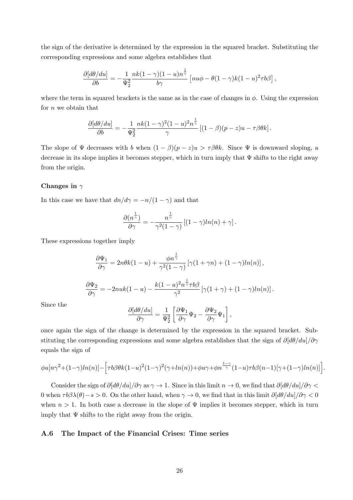the sign of the derivative is determined by the expression in the squared bracket. Substituting the corresponding expressions and some algebra establishes that

$$
\frac{\partial [d\theta/du]}{\partial b} = -\frac{1}{\Psi_2^2} \frac{nk(1-\gamma)(1-u)n^{\frac{1}{\gamma}}}{b\gamma} \left[ nu\phi - \theta(1-\gamma)k(1-u)^2 \tau b\beta \right],
$$

where the term in squared brackets is the same as in the case of changes in  $\phi$ . Using the expression for *n* we obtain that

$$
\frac{\partial [d\theta/du]}{\partial b} = -\frac{1}{\Psi_2^2} \frac{nk(1-\gamma)^2(1-u)^2n^{\frac{1}{\gamma}}}{\gamma} \left[ (1-\beta)(p-z)u - \tau\beta\theta k \right].
$$

The slope of  $\Psi$  decreases with b when  $(1 - \beta)(p - z)u > \tau \beta \theta k$ . Since  $\Psi$  is downward sloping, a decrease in its slope implies it becomes stepper, which in turn imply that Ψ shifts to the right away from the origin.

#### Changes in  $\gamma$

In this case we have that  $dn/d\gamma = -n/(1 - \gamma)$  and that

$$
\frac{\partial (n^{\frac{1}{\gamma}})}{\partial \gamma} = -\frac{n^{\frac{1}{\gamma}}}{\gamma^2 (1-\gamma)} [(1-\gamma)ln(n) + \gamma].
$$

These expressions together imply

$$
\frac{\partial \Psi_1}{\partial \gamma} = 2n\theta k(1-u) + \frac{\phi n^{\frac{1}{\gamma}}}{\gamma^2 (1-\gamma)} \left[ \gamma (1+\gamma n) + (1-\gamma) \ln(n) \right],
$$
  

$$
\frac{\partial \Psi_2}{\partial \gamma} = -2n u k(1-u) - \frac{k(1-u)^2 n^{\frac{1}{\gamma}} \tau b \beta}{\gamma^2} \left[ \gamma (1+\gamma) + (1-\gamma) \ln(n) \right].
$$

Since the

$$
\frac{\partial [d\theta/du]}{\partial \gamma} = \frac{1}{\Psi_2^2} \left[ \frac{\partial \Psi_1}{\partial \gamma} \Psi_2 - \frac{\partial \Psi_2}{\partial \gamma} \Psi_1 \right],
$$

once again the sign of the change is determined by the expression in the squared bracket. Substituting the corresponding expressions and some algebra establishes that the sign of  $\partial [\frac{d\theta}{du}] / \partial \gamma$ equals the sign of

$$
\phi u[n\gamma^2+(1-\gamma)ln(n)]-\Big[\tau b\beta\theta k(1-u)^2(1-\gamma)^2(\gamma+ln(n))+\phi u\gamma+\phi n^{\frac{1-\gamma}{\gamma}}(1-u)\tau b\beta(n-1)[\gamma+(1-\gamma)ln(n)]\Big].
$$

Consider the sign of  $\partial [d\theta/du]/\partial \gamma$  as  $\gamma \to 1$ . Since in this limit  $n \to 0$ , we find that  $\partial [d\theta/du]/\partial \gamma$ 0 when  $\tau b\beta\lambda(\theta)-s>0$ . On the other hand, when  $\gamma\to 0$ , we find that in this limit  $\partial[\theta/du]/\partial\gamma<0$ when  $n > 1$ . In both case a decrease in the slope of  $\Psi$  implies it becomes stepper, which in turn imply that  $\Psi$  shifts to the right away from the origin.

#### A.6 The Impact of the Financial Crises: Time series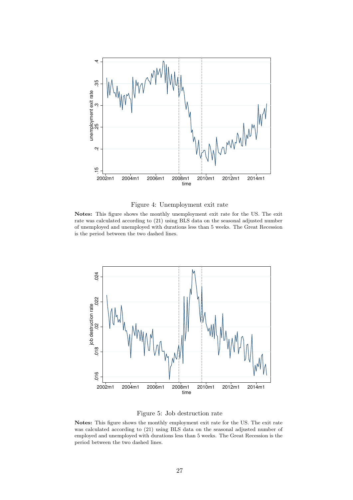

Figure 4: Unemployment exit rate

Notes: This figure shows the monthly unemployment exit rate for the US. The exit rate was calculated according to (21) using BLS data on the seasonal adjusted number of unemployed and unemployed with durations less than 5 weeks. The Great Recession is the period between the two dashed lines.



Figure 5: Job destruction rate

Notes: This figure shows the monthly employment exit rate for the US. The exit rate was calculated according to (21) using BLS data on the seasonal adjusted number of employed and unemployed with durations less than 5 weeks. The Great Recession is the period between the two dashed lines.